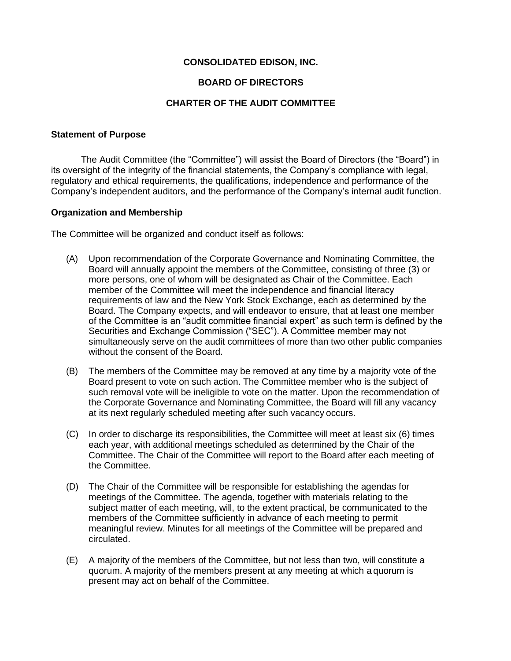# **CONSOLIDATED EDISON, INC.**

### **BOARD OF DIRECTORS**

### **CHARTER OF THE AUDIT COMMITTEE**

#### **Statement of Purpose**

The Audit Committee (the "Committee") will assist the Board of Directors (the "Board") in its oversight of the integrity of the financial statements, the Company's compliance with legal, regulatory and ethical requirements, the qualifications, independence and performance of the Company's independent auditors, and the performance of the Company's internal audit function.

### **Organization and Membership**

The Committee will be organized and conduct itself as follows:

- (A) Upon recommendation of the Corporate Governance and Nominating Committee, the Board will annually appoint the members of the Committee, consisting of three (3) or more persons, one of whom will be designated as Chair of the Committee. Each member of the Committee will meet the independence and financial literacy requirements of law and the New York Stock Exchange, each as determined by the Board. The Company expects, and will endeavor to ensure, that at least one member of the Committee is an "audit committee financial expert" as such term is defined by the Securities and Exchange Commission ("SEC"). A Committee member may not simultaneously serve on the audit committees of more than two other public companies without the consent of the Board.
- (B) The members of the Committee may be removed at any time by a majority vote of the Board present to vote on such action. The Committee member who is the subject of such removal vote will be ineligible to vote on the matter. Upon the recommendation of the Corporate Governance and Nominating Committee, the Board will fill any vacancy at its next regularly scheduled meeting after such vacancy occurs.
- (C) In order to discharge its responsibilities, the Committee will meet at least six (6) times each year, with additional meetings scheduled as determined by the Chair of the Committee. The Chair of the Committee will report to the Board after each meeting of the Committee.
- (D) The Chair of the Committee will be responsible for establishing the agendas for meetings of the Committee. The agenda, together with materials relating to the subject matter of each meeting, will, to the extent practical, be communicated to the members of the Committee sufficiently in advance of each meeting to permit meaningful review. Minutes for all meetings of the Committee will be prepared and circulated.
- (E) A majority of the members of the Committee, but not less than two, will constitute a quorum. A majority of the members present at any meeting at which a quorum is present may act on behalf of the Committee.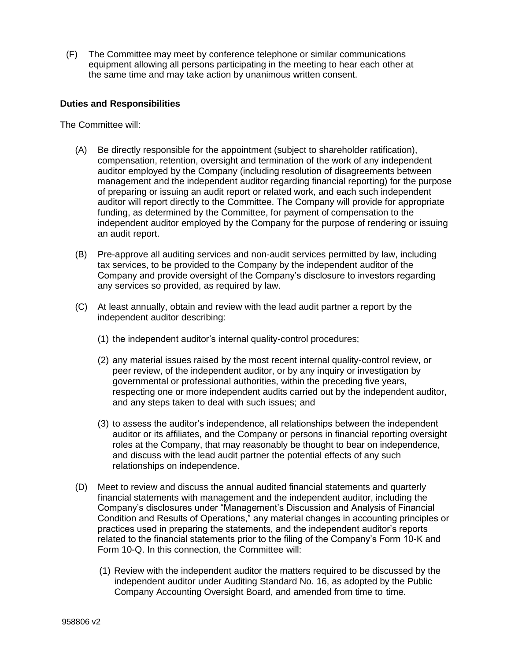(F) The Committee may meet by conference telephone or similar communications equipment allowing all persons participating in the meeting to hear each other at the same time and may take action by unanimous written consent.

# **Duties and Responsibilities**

The Committee will:

- (A) Be directly responsible for the appointment (subject to shareholder ratification), compensation, retention, oversight and termination of the work of any independent auditor employed by the Company (including resolution of disagreements between management and the independent auditor regarding financial reporting) for the purpose of preparing or issuing an audit report or related work, and each such independent auditor will report directly to the Committee. The Company will provide for appropriate funding, as determined by the Committee, for payment of compensation to the independent auditor employed by the Company for the purpose of rendering or issuing an audit report.
- (B) Pre-approve all auditing services and non-audit services permitted by law, including tax services, to be provided to the Company by the independent auditor of the Company and provide oversight of the Company's disclosure to investors regarding any services so provided, as required by law.
- (C) At least annually, obtain and review with the lead audit partner a report by the independent auditor describing:
	- (1) the independent auditor's internal quality-control procedures;
	- (2) any material issues raised by the most recent internal quality-control review, or peer review, of the independent auditor, or by any inquiry or investigation by governmental or professional authorities, within the preceding five years, respecting one or more independent audits carried out by the independent auditor, and any steps taken to deal with such issues; and
	- (3) to assess the auditor's independence, all relationships between the independent auditor or its affiliates, and the Company or persons in financial reporting oversight roles at the Company, that may reasonably be thought to bear on independence, and discuss with the lead audit partner the potential effects of any such relationships on independence.
- (D) Meet to review and discuss the annual audited financial statements and quarterly financial statements with management and the independent auditor, including the Company's disclosures under "Management's Discussion and Analysis of Financial Condition and Results of Operations," any material changes in accounting principles or practices used in preparing the statements, and the independent auditor's reports related to the financial statements prior to the filing of the Company's Form 10-K and Form 10-Q. In this connection, the Committee will:
	- (1) Review with the independent auditor the matters required to be discussed by the independent auditor under Auditing Standard No. 16, as adopted by the Public Company Accounting Oversight Board, and amended from time to time.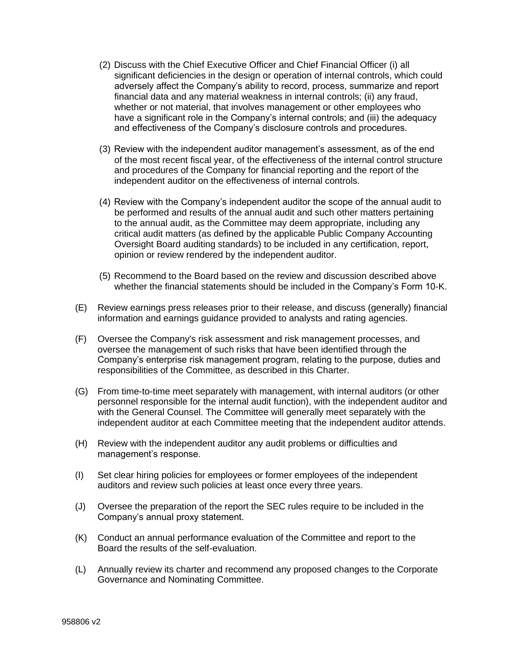- (2) Discuss with the Chief Executive Officer and Chief Financial Officer (i) all significant deficiencies in the design or operation of internal controls, which could adversely affect the Company's ability to record, process, summarize and report financial data and any material weakness in internal controls; (ii) any fraud, whether or not material, that involves management or other employees who have a significant role in the Company's internal controls; and (iii) the adequacy and effectiveness of the Company's disclosure controls and procedures.
- (3) Review with the independent auditor management's assessment, as of the end of the most recent fiscal year, of the effectiveness of the internal control structure and procedures of the Company for financial reporting and the report of the independent auditor on the effectiveness of internal controls.
- (4) Review with the Company's independent auditor the scope of the annual audit to be performed and results of the annual audit and such other matters pertaining to the annual audit, as the Committee may deem appropriate, including any critical audit matters (as defined by the applicable Public Company Accounting Oversight Board auditing standards) to be included in any certification, report, opinion or review rendered by the independent auditor.
- (5) Recommend to the Board based on the review and discussion described above whether the financial statements should be included in the Company's Form 10-K.
- (E) Review earnings press releases prior to their release, and discuss (generally) financial information and earnings guidance provided to analysts and rating agencies.
- (F) Oversee the Company's risk assessment and risk management processes, and oversee the management of such risks that have been identified through the Company's enterprise risk management program, relating to the purpose, duties and responsibilities of the Committee, as described in this Charter.
- (G) From time-to-time meet separately with management, with internal auditors (or other personnel responsible for the internal audit function), with the independent auditor and with the General Counsel. The Committee will generally meet separately with the independent auditor at each Committee meeting that the independent auditor attends.
- (H) Review with the independent auditor any audit problems or difficulties and management's response.
- (I) Set clear hiring policies for employees or former employees of the independent auditors and review such policies at least once every three years.
- (J) Oversee the preparation of the report the SEC rules require to be included in the Company's annual proxy statement.
- (K) Conduct an annual performance evaluation of the Committee and report to the Board the results of the self-evaluation.
- (L) Annually review its charter and recommend any proposed changes to the Corporate Governance and Nominating Committee.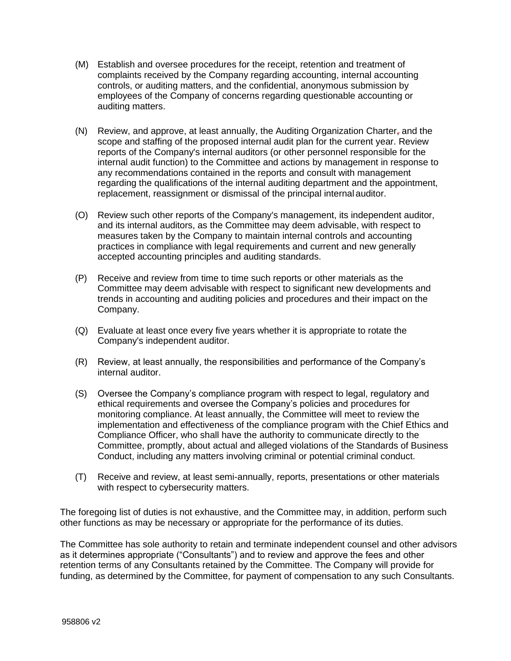- (M) Establish and oversee procedures for the receipt, retention and treatment of complaints received by the Company regarding accounting, internal accounting controls, or auditing matters, and the confidential, anonymous submission by employees of the Company of concerns regarding questionable accounting or auditing matters.
- (N) Review, and approve, at least annually, the Auditing Organization Charter, and the scope and staffing of the proposed internal audit plan for the current year. Review reports of the Company's internal auditors (or other personnel responsible for the internal audit function) to the Committee and actions by management in response to any recommendations contained in the reports and consult with management regarding the qualifications of the internal auditing department and the appointment, replacement, reassignment or dismissal of the principal internal auditor.
- (O) Review such other reports of the Company's management, its independent auditor, and its internal auditors, as the Committee may deem advisable, with respect to measures taken by the Company to maintain internal controls and accounting practices in compliance with legal requirements and current and new generally accepted accounting principles and auditing standards.
- (P) Receive and review from time to time such reports or other materials as the Committee may deem advisable with respect to significant new developments and trends in accounting and auditing policies and procedures and their impact on the Company.
- (Q) Evaluate at least once every five years whether it is appropriate to rotate the Company's independent auditor.
- (R) Review, at least annually, the responsibilities and performance of the Company's internal auditor.
- (S) Oversee the Company's compliance program with respect to legal, regulatory and ethical requirements and oversee the Company's policies and procedures for monitoring compliance. At least annually, the Committee will meet to review the implementation and effectiveness of the compliance program with the Chief Ethics and Compliance Officer, who shall have the authority to communicate directly to the Committee, promptly, about actual and alleged violations of the Standards of Business Conduct, including any matters involving criminal or potential criminal conduct.
- (T) Receive and review, at least semi-annually, reports, presentations or other materials with respect to cybersecurity matters.

The foregoing list of duties is not exhaustive, and the Committee may, in addition, perform such other functions as may be necessary or appropriate for the performance of its duties.

The Committee has sole authority to retain and terminate independent counsel and other advisors as it determines appropriate ("Consultants") and to review and approve the fees and other retention terms of any Consultants retained by the Committee. The Company will provide for funding, as determined by the Committee, for payment of compensation to any such Consultants.